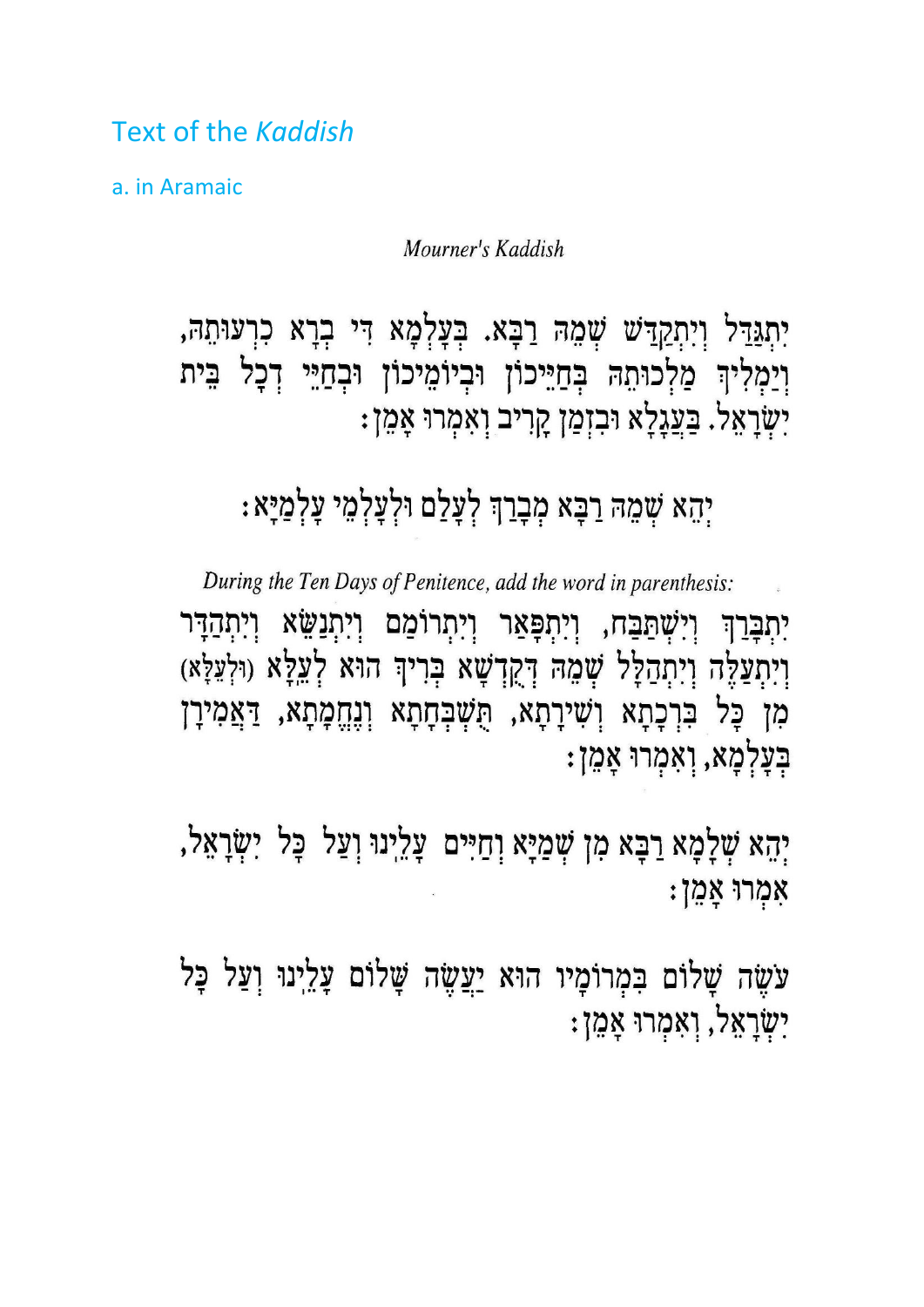Text of the *Kaddish*

a. in Aramaic

Mourner's Kaddish

יִתְגַּדֵּל וְיִתְקַדַּשׁ שְׁמֵהּ רַבָּא. בְּעָלְמָא דִּי בְרָא כִרְעוּתֵהּ, וְיַמְלִיךְ מַלְכוּתֵהּ בְּחַיֵּיכוֹן וּבְיוֹמֵיכוֹן וּבְחַיֵּי דְכָל בֵּית יִשְׂרָאֵל. בַּעֲגָלָא וּבִזְמַן קָרִיב וְאִמְרוּ אָמֵן:

## יְהֵא שְׁמֵהּ רַבָּא מְבָרַךְּ לְעָלַם וּלְעָלְמֵי עָלְמַיָּא:

During the Ten Days of Penitence, add the word in parenthesis: יִתְבְּרַךְ וְיִשְׁתַּבֵּח, וְיִתְפָּאַר וְיִתְרוֹמֵם וְיִתְנַשֵּׂא וְיִתְהַדָּר וְיִתְצַלֶּה וְיִתְהַלָּל שְׁמֵהּ דְּקֻךָשָׁא בְּרִיךְ הוּא לְעֵלָּא (וּלְעֵלָּא) מִן כָּל בִּרְכָתָא וְשִׁירָתָא, הֻשְׁבְּחָתָא וְנֶחֱמָתָא, דַּאֲמִירָן בְּעָלְמָא, וְאִמְרוּ אָמֵן:

יְהָא שְׁלָמָא רַבָּא מִן שְׁמַיָּא וְחַיִּים עָלֵינוּ וְעַל כָּל יִשְׂרָאֵל, אִמְרוּ אָמֵן:

עֹשֵׂה שָׁלוֹם בִּמְרוֹמָיו הוּא יַעֲשֶׂה שָׁלוֹם עָלֵיְנוּ וְעַל כָּל יִשְׂרָאֵל, וְאִמְרוּ אָמֵן: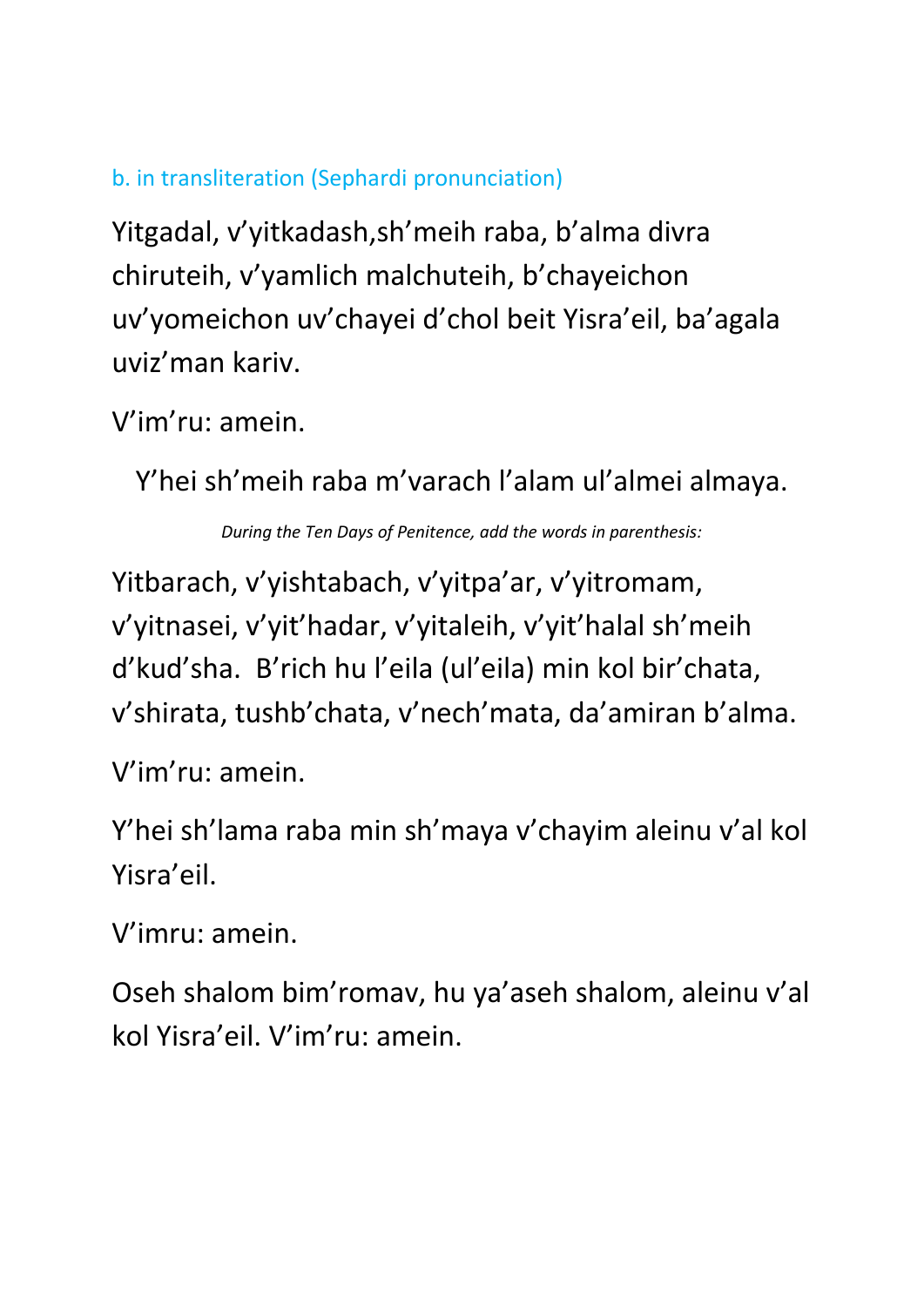## b. in transliteration (Sephardi pronunciation)

Yitgadal, v'yitkadash,sh'meih raba, b'alma divra chiruteih, v'yamlich malchuteih, b'chayeichon uv'yomeichon uv'chayei d'chol beit Yisra'eil, ba'agala uviz'man kariv.

V'im'ru: amein.

Y'hei sh'meih raba m'varach l'alam ul'almei almaya.

*During the Ten Days of Penitence, add the words in parenthesis:*

Yitbarach, v'yishtabach, v'yitpa'ar, v'yitromam, v'yitnasei, v'yit'hadar, v'yitaleih, v'yit'halal sh'meih d'kud'sha. B'rich hu l'eila (ul'eila) min kol bir'chata, v'shirata, tushb'chata, v'nech'mata, da'amiran b'alma.

V'im'ru: amein.

Y'hei sh'lama raba min sh'maya v'chayim aleinu v'al kol Yisra'eil.

V'imru: amein.

Oseh shalom bim'romav, hu ya'aseh shalom, aleinu v'al kol Yisra'eil. V'im'ru: amein.